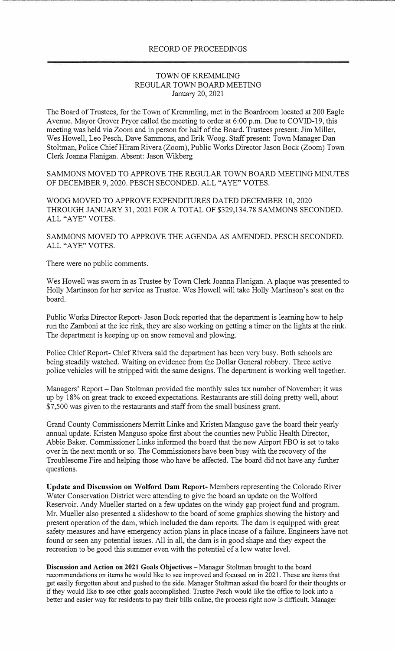## TOWN OF KREMMLING REGULAR TOWN BOARD MEETING January 20, 2021

The Board of Trustees, for the Town of Kremmling, met in the Boardroom located at 200 Eagle Avenue. Mayor Grover Pryor called the meeting to order at 6:00 p.m. Due to COVID-19, this meeting was held via Zoom and in person for half of the Board. Trustees present: Jim Miller, Wes Howell, Leo Pesch, Dave Sammons, and Erik Woog. Staff present: Town Manager Dan Stoltman, Police Chief Hiram Rivera (Zoom), Public Works Director Jason Bock (Zoom) Town Clerk Joanna Flanigan. Absent: Jason Wikberg

SAMMONS MOVED TO APPROVE THE REGULAR TOWN BOARD MEETING MINUTES OF DECEMBER 9, 2020. PESCH SECONDED. ALL "A YE" VOTES.

WOOG MOVED TO APPROVE EXPENDITURES DATED DECEMBER 10, 2020 THROUGH JANUARY 31, 2021 FOR A TOTAL OF \$329,134.78 SAMMONS SECONDED. ALL "AYE" VOTES.

SAMMONS MOVED TO APPROVE THE AGENDA AS AMENDED. PESCH SECONDED. ALL "AYE" VOTES.

There were no public comments.

Wes Howell was sworn in as Trustee by Town Clerk Joanna Flanigan. A plaque was presented to Holly Martinson for her service as Trustee. Wes Howell will take Holly Martinson's seat on the board.

Public Works Director Report- Jason Bock reported that the department is learning how to help run the Zamboni at the ice rink, they are also working on getting a timer on the lights at the rink. The department is keeping up on snow removal and plowing.

Police Chief Report- Chief Rivera said the department has been very busy. Both schools are being steadily watched. Waiting on evidence from the Dollar General robbery. Three active police vehicles will be stripped with the same designs. The department is working well together.

Managers' Report - Dan Stoltman provided the monthly sales tax number of November; it was up by 18% on great track to exceed expectations. Restaurants are still doing pretty well, about \$7,500 was given to the restaurants and staff from the small business grant.

Grand County Commissioners Merritt Linke and Kristen Manguso gave the board their yearly annual update. Kristen Manguso spoke first about the counties new Public Health Director, Abbie Baker. Commissioner Linke informed the board that the new Airport FBO is set to take over in the next month or so. The Commissioners have been busy with the recovery of the Troublesome Fire and helping those who have be affected. The board did not have any further questions.

**Update and Discussion on Wolford Dam Report-** Members representing the Colorado River Water Conservation District were attending to give the board an update on the Wolford Reservoir. Andy Mueller started on a few updates on the windy gap project fund and program. Mr. Mueller also presented a slideshow to the board of some graphics showing the history and present operation of the dam, which included the dam reports. The dam is equipped with great safety measures and have emergency action plans in place incase of a failure. Engineers have not found or seen any potential issues. All in all, the dam is in good shape and they expect the recreation to be good this summer even with the potential of a low water level.

**Discussion and Action on 2021 Goals Objectives** - Manager Stoltrnan brought to the board recommendations on items he would like to see improved and focused on in 2021. These are items that get easily forgotten about and pushed to the side. Manager Stoltrnan asked the board for their thoughts or if they would like to see other goals accomplished. Trustee Pesch would like the office to look into a better and easier way for residents to pay their bills online, the process right now is difficult. Manager